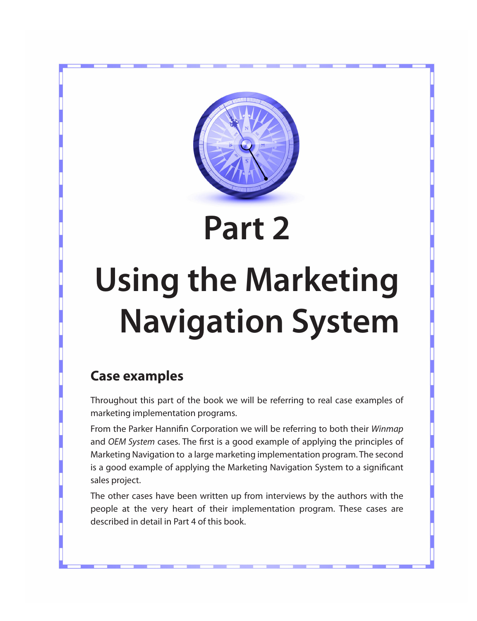

# **Part 2**

# **Using the Marketing Navigation System**

### **Case examples**

Throughout this part of the book we will be referring to real case examples of marketing implementation programs.

From the Parker Hannifin Corporation we will be referring to both their *Winmap* and *OEM System* cases. The first is a good example of applying the principles of Marketing Navigation to a large marketing implementation program. The second is a good example of applying the Marketing Navigation System to a significant sales project.

The other cases have been written up from interviews by the authors with the people at the very heart of their implementation program. These cases are described in detail in Part 4 of this book.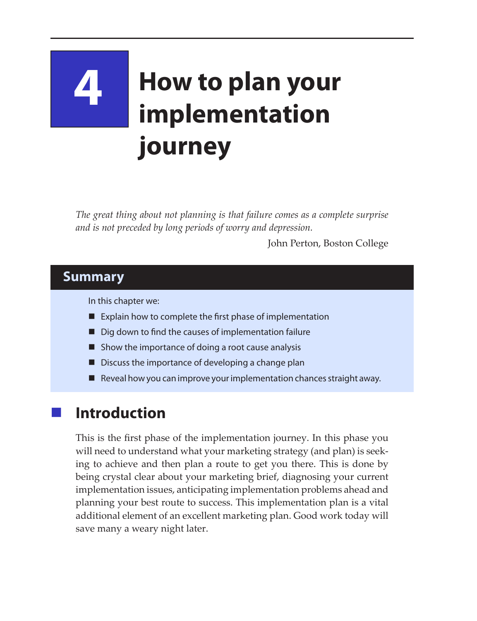# **4 How to plan your implementation journey**

*The great thing about not planning is that failure comes as a complete surprise and is not preceded by long periods of worry and depression.*

John Perton, Boston College

#### **Summary**

In this chapter we:

- $\blacksquare$  Explain how to complete the first phase of implementation
- Dig down to find the causes of implementation failure
- $\blacksquare$  Show the importance of doing a root cause analysis
- Discuss the importance of developing a change plan
- $\blacksquare$  Reveal how you can improve your implementation chances straight away.

## **Introduction**

This is the first phase of the implementation journey. In this phase you will need to understand what your marketing strategy (and plan) is seeking to achieve and then plan a route to get you there. This is done by being crystal clear about your marketing brief, diagnosing your current implementation issues, anticipating implementation problems ahead and planning your best route to success. This implementation plan is a vital additional element of an excellent marketing plan. Good work today will save many a weary night later.